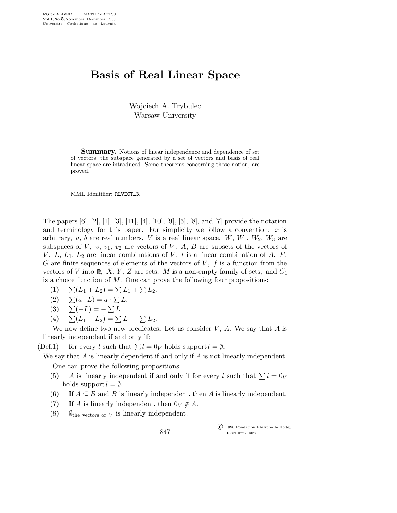## Basis of Real Linear Space

Wojciech A. Trybulec Warsaw University

**Summary.** Notions of linear independence and dependence of set of vectors, the subspace generated by a set of vectors and basis of real linear space are introduced. Some theorems concerning those notion, are proved.

MML Identifier: RLVECT 3.

The papers [6], [2], [1], [3], [11], [4], [10], [9], [5], [8], and [7] provide the notation and terminology for this paper. For simplicity we follow a convention:  $x$  is arbitrary,  $a, b$  are real numbers,  $V$  is a real linear space,  $W, W_1, W_2, W_3$  are subspaces of  $V$ ,  $v$ ,  $v_1$ ,  $v_2$  are vectors of  $V$ ,  $A$ ,  $B$  are subsets of the vectors of V,  $L, L_1, L_2$  are linear combinations of V, l is a linear combination of A, F, G are finite sequences of elements of the vectors of  $V, f$  is a function from the vectors of V into R, X, Y, Z are sets, M is a non-empty family of sets, and  $C_1$ is a choice function of  $M$ . One can prove the following four propositions:

- (1)  $\Sigma(L_1 + L_2) = \Sigma L_1 + \Sigma L_2.$
- (2)  $\sum (a \cdot L) = a \cdot \sum L$ .
- (3)  $\Sigma(-L) = -\sum L$ .
- (4)  $\Sigma(L_1 L_2) = \Sigma L_1 \Sigma L_2.$

We now define two new predicates. Let us consider  $V, A$ . We say that  $A$  is linearly independent if and only if:

(Def.1) for every l such that  $\sum l = 0_V$  holds support  $l = \emptyset$ .

We say that A is linearly dependent if and only if A is not linearly independent. One can prove the following propositions:

- (5) A is linearly independent if and only if for every l such that  $\sum l = 0_V$ holds support  $l = \emptyset$ .
- (6) If  $A \subseteq B$  and B is linearly independent, then A is linearly independent.
- (7) If A is linearly independent, then  $0_V \notin A$ .
- (8)  $\emptyset_{\text{the vectors of } V}$  is linearly independent.

847

 c 1990 Fondation Philippe le Hodey ISSN 0777–4028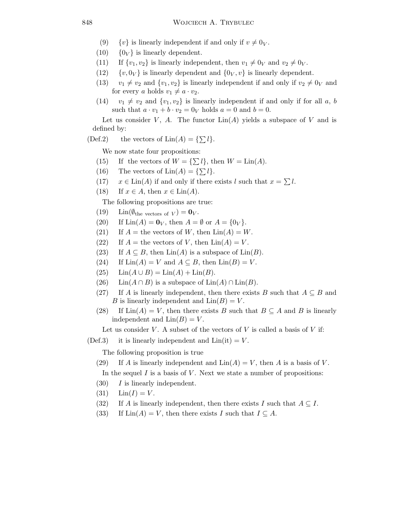- (9)  $\{v\}$  is linearly independent if and only if  $v \neq 0_V$ .
- (10)  $\{0_V\}$  is linearly dependent.
- (11) If  $\{v_1, v_2\}$  is linearly independent, then  $v_1 \neq 0_V$  and  $v_2 \neq 0_V$ .
- (12)  $\{v, 0_V\}$  is linearly dependent and  $\{0_V, v\}$  is linearly dependent.
- (13)  $v_1 \neq v_2$  and  $\{v_1,v_2\}$  is linearly independent if and only if  $v_2 \neq 0_V$  and for every a holds  $v_1 \neq a \cdot v_2$ .
- (14)  $v_1 \neq v_2$  and  $\{v_1,v_2\}$  is linearly independent if and only if for all a, b such that  $a \cdot v_1 + b \cdot v_2 = 0_V$  holds  $a = 0$  and  $b = 0$ .

Let us consider V, A. The functor  $\text{Lin}(A)$  yields a subspace of V and is defined by:

(Def.2) the vectors of  $\text{Lin}(A) = {\{\sum l\}}.$ 

We now state four propositions:

- (15) If the vectors of  $W = {\{\sum l\}}$ , then  $W = \text{Lin}(A)$ .
- (16) The vectors of  $\text{Lin}(A) = \{\sum l\}.$
- $(17)$   $x \in \text{Lin}(A)$  if and only if there exists l such that  $x = \sum l$ .
- (18) If  $x \in A$ , then  $x \in \text{Lin}(A)$ .

The following propositions are true:

- (19) Lin( $\emptyset_{\text{the vectors of } V} = \mathbf{0}_V$ .
- (20) If  $\text{Lin}(A) = \mathbf{0}_V$ , then  $A = \emptyset$  or  $A = \{0_V\}$ .
- (21) If  $A =$  the vectors of W, then  $\text{Lin}(A) = W$ .
- (22) If  $A =$  the vectors of V, then  $\text{Lin}(A) = V$ .
- (23) If  $A \subseteq B$ , then  $\text{Lin}(A)$  is a subspace of  $\text{Lin}(B)$ .
- (24) If  $\text{Lin}(A) = V$  and  $A \subseteq B$ , then  $\text{Lin}(B) = V$ .
- (25)  $\text{Lin}(A \cup B) = \text{Lin}(A) + \text{Lin}(B).$
- (26) Lin( $A \cap B$ ) is a subspace of Lin( $A$ ) ∩ Lin( $B$ ).
- (27) If A is linearly independent, then there exists B such that  $A \subseteq B$  and B is linearly independent and  $\text{Lin}(B) = V$ .
- (28) If  $\text{Lin}(A) = V$ , then there exists B such that  $B \subseteq A$  and B is linearly independent and  $\text{Lin}(B) = V$ .

Let us consider V. A subset of the vectors of V is called a basis of V if:

 $(Def.3)$  it is linearly independent and  $Lin(it) = V$ .

The following proposition is true

(29) If A is linearly independent and  $\text{Lin}(A) = V$ , then A is a basis of V.

In the sequel  $I$  is a basis of  $V$ . Next we state a number of propositions:

- $(30)$  I is linearly independent.
- (31)  $\text{Lin}(I) = V$ .
- (32) If A is linearly independent, then there exists I such that  $A \subseteq I$ .
- (33) If  $\text{Lin}(A) = V$ , then there exists I such that  $I \subseteq A$ .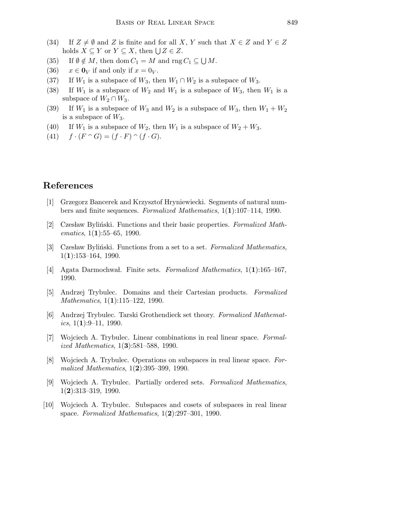- (34) If  $Z \neq \emptyset$  and Z is finite and for all X, Y such that  $X \in Z$  and  $Y \in Z$ holds  $X \subseteq Y$  or  $Y \subseteq X$ , then  $\bigcup Z \in Z$ .
- (35) If  $\emptyset \notin M$ , then dom  $C_1 = M$  and rng  $C_1 \subseteq \bigcup M$ .
- (36)  $x \in \mathbf{0}_V$  if and only if  $x = 0_V$ .
- (37) If  $W_1$  is a subspace of  $W_3$ , then  $W_1 \cap W_2$  is a subspace of  $W_3$ .
- (38) If  $W_1$  is a subspace of  $W_2$  and  $W_1$  is a subspace of  $W_3$ , then  $W_1$  is a subspace of  $W_2 \cap W_3$ .
- (39) If  $W_1$  is a subspace of  $W_3$  and  $W_2$  is a subspace of  $W_3$ , then  $W_1 + W_2$ is a subspace of  $W_3$ .
- (40) If  $W_1$  is a subspace of  $W_2$ , then  $W_1$  is a subspace of  $W_2 + W_3$ .
- (41)  $f \cdot (F \cap G) = (f \cdot F) \cap (f \cdot G).$

## References

- [1] Grzegorz Bancerek and Krzysztof Hryniewiecki. Segments of natural numbers and finite sequences. Formalized Mathematics, 1(1):107–114, 1990.
- [2] Czesław Byliński. Functions and their basic properties. Formalized Mathematics,  $1(1):55-65$ , 1990.
- [3] Czesław Byliński. Functions from a set to a set. Formalized Mathematics,  $1(1):153-164, 1990.$
- [4] Agata Darmochwal. Finite sets. Formalized Mathematics,  $1(1):165-167$ , 1990.
- [5] Andrzej Trybulec. Domains and their Cartesian products. Formalized Mathematics, 1(1):115–122, 1990.
- [6] Andrzej Trybulec. Tarski Grothendieck set theory. Formalized Mathematics,  $1(1):9-11$ , 1990.
- [7] Wojciech A. Trybulec. Linear combinations in real linear space. Formalized Mathematics, 1(3):581–588, 1990.
- [8] Wojciech A. Trybulec. Operations on subspaces in real linear space. Formalized Mathematics, 1(2):395–399, 1990.
- [9] Wojciech A. Trybulec. Partially ordered sets. Formalized Mathematics,  $1(2):313-319, 1990.$
- [10] Wojciech A. Trybulec. Subspaces and cosets of subspaces in real linear space. Formalized Mathematics,  $1(2):297-301$ , 1990.